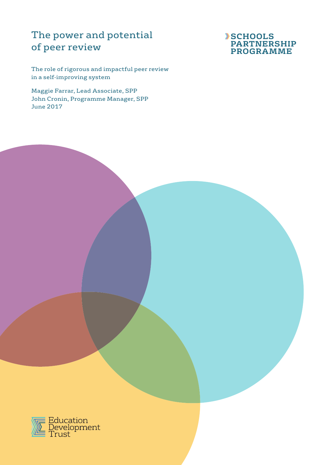# The power and potential of peer review

The role of rigorous and impactful peer review in a self-improving system

Maggie Farrar, Lead Associate, SPP John Cronin, Programme Manager, SPP June 2017



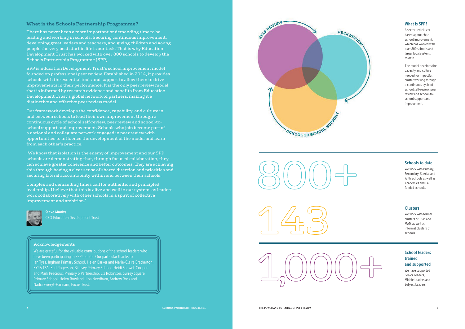3

# **What is the Schools Partnership Programme?**

There has never been a more important or demanding time to be leading and working in schools. Securing continuous improvement, developing great leaders and teachers, and giving children and young people the very best start in life is our task. That is why Education Development Trust has worked with over 800 schools to develop the Schools Partnership Programme (SPP).

SPP is Education Development Trust's school improvement model founded on professional peer review. Established in 2014, it provides schools with the essential tools and support to allow them to drive improvements in their performance. It is the only peer review model that is informed by research evidence and benefits from Education Development Trust's global network of partners, making it a distinctive and effective peer review model.

Our framework develops the confidence, capability, and culture in and between schools to lead their own improvement through a continuous cycle of school self-review, peer review and school-toschool support and improvement. Schools who join become part of a national and collegiate network engaged in peer review with opportunities to influence the development of the model and learn from each other's practice.

'We know that isolation is the enemy of improvement and our SPP schools are demonstrating that, through focused collaboration, they can achieve greater coherence and better outcomes. They are achieving this through having a clear sense of shared direction and priorities and securing lateral accountability within and between their schools.

Complex and demanding times call for authentic and principled leadership. I believe that this is alive and well in our system, as leaders work collaboratively with other schools in a spirit of collective improvement and ambition.'



Steve Munby CEO Education Development Trust

### Acknowledgements

We are grateful for the valuable contributions of the school leaders who have been participating in SPP to date. Our particular thanks to: Ian Tyas, Ingham Primary School, Helen Barker and Marie-Claire Bretherton, KYRA TSA, Karl Rogerson, Billesey Primary School, Heidi Shewel-Cooper and Mark Precious, Primary 6 Partnership, Liz Robinson, Surrey Square Primary School, Helen Rowland, Lisa Needham, Andrew Ross and Nadia Sweryt-Hannam, Focus Trust.









### Schools to date

We work with Primary, Secondary, Special and Faith Schools as well as Academies and LA funded schools.

## **Clusters**

We work with formal clusters of TSAs and MATs as well as informal clusters of schools.

# School leaders trained and supported

We have supported Senior Leaders, Middle Leaders and Subject Leaders.



## What is SPP?

A sector-led clusterbased approach to school improvement, which has worked with over 800 schools and larger local systems to date.

The model develops the capacity and culture needed for impactful cluster working through a continuous cycle of school self-review, peer review and school-toschool support and improvement.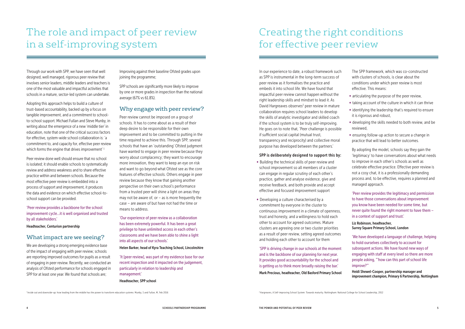# The role and impact of peer review in a self-improving system

Adopting this approach helps to build a culture of trust-based accountability, backed up by a focus on tangible improvement, and a commitment to schoolto-school support. Michael Fullan and Steve Munby, in writing about the emergence of a new 'middle tier' in education, note that one of the critical success factors for effective, system-wide school collaboration is: 'a commitment to, and capacity for, effective peer review which forms the engine that drives improvement<sup>'1</sup>

Through our work with SPP, we have seen that well designed, well managed, rigorous peer review that involves senior leaders, middle leaders and teachers is one of the most valuable and impactful activities that schools in a mature, sector-led system can undertake.

Peer review done well should ensure that no school is isolated; it should enable schools to systematically review and address weakness and to share effective practice within and between schools. Because the most effective peer review is embedded into a process of support and improvement, it produces the data and evidence on which effective school-toschool support can be provided.

'Peer review provides a backbone for the school improvement cycle…it is well organised and trusted by all stakeholders.'

Headteacher, Centurion partnership

# What impact are we seeing?

We are developing a strong emerging evidence base of the impact of engaging with peer review; schools are reporting improved outcomes for pupils as a result of engaging in peer review. Recently, we conducted an analysis of Ofsted performance for schools engaged in SPP for at least one year. We found that schools are;

Improving against their baseline Ofsted grades upon joining the programme;

SPP schools are significantly more likely to improve by one or more grades in inspection than the national average (67% vs 61.8%).

# Why engage with peer review?

Peer review cannot be imposed on a group of schools. It has to come about as a result of their deep desire to be responsible for their own improvement and to be committed to putting in the time required to achieve this. Through SPP, several schools that have an 'outstanding' Ofsted judgment have wanted to engage in peer review because they worry about complacency; they want to encourage more innovation, they want to keep an eye on risk and want to go beyond what Ofsted see as the core features of effective schools. Others engage in peer review because they know that gaining another perspective on their own school's performance from a trusted peer will shine a light on areas they may not be aware of, or  $-$  as is more frequently the case – are aware of but have not had the time or means to address.

'Our experience of peer review as a collaboration has been extremely powerful. It has been a great privilege to have unlimited access in each other's classrooms and we have been able to shine a light into all aspects of our schools.'

### Helen Barker, head of Kyra Teaching School, Lincolnshire

'It [peer review], was part of my evidence base for our recent inspection and it impacted on the judgement, particularly in relation to leadership and management.'

Headteacher, SPP school

In our experience to date, a robust framework such as SPP is instrumental in the long-term success of peer review as it formalises the practice and embeds it into school life. We have found that impactful peer review cannot happen without the right leadership skills and mindset to lead it. As David Hargreaves observes<sup>2</sup> peer review in mature collaboration requires school leaders to develop the skills of analytic investigator and skilled coach if the school system is to be truly self-improving. He goes on to note that, 'Peer challenge is possible if sufficient social capital (mutual trust, transparency and reciprocity) and collective moral purpose has developed between the partners.'

### SPP is deliberately designed to support this by:

- Building the technical skills of peer review and school improvement so all members of a cluster can engage in regular scrutiny of each other's practice, gather and analyse evidence, give and receive feedback, and both provide and accept effective and focused improvement support
- Developing a culture characterised by a commitment by everyone in the cluster to continuous improvement in a climate of openness, trust and honesty, and a willingness to hold each other to account for agreed outcomes. Mature clusters are agreeing one or two cluster priorities as a result of peer review, setting agreed outcomes and holding each other to account for them

'SPP is driving change in our schools at the moment and is the backbone of our planning for next year. It provides good accountability for the school and is getting us to think more broadly raising the bar.'

Mark Precious, headteacher, Old Basford Primary School

- The SPP framework, which was co-constructed with clusters of schools, is clear about the conditions under which peer review is most effective. This means:
- articulating the purpose of the peer review,
- taking account of the culture in which it can thrive • identifying the leadership that's required to ensure it is rigorous and robust,
- developing the skills needed to both review, and be reviewed,
- ensuring follow-up action to secure a change in practice that will lead to better outcomes.
- By adopting the model, schools say they gain the 'legitimacy' to have conversations about what needs to improve in each other's schools as well as celebrate effective practice. Effective peer review is not a cosy chat, it is a professionally demanding process and, to be effective, requires a planned and managed approach.
- 'Peer review provides the legitimacy and permission to have those conversations about improvement you know have been needed for some time, but never quite found the right moment to have them – in a context of support and trust.'
- Liz Robinson, headteacher, Surrey Square Primary School, London
- 'We have developed a language of challenge, helping to hold ourselves collectively to account for subsequent actions. We have found new ways of engaging with staff at every level so there are more people asking, "'how can this part of school life improve?"'
- Heidi Shewel-Cooper, partnership manager and improvement champion, Primary 6 Partnership, Nottingham

# Creating the right conditions for effective peer review

<sup>1</sup>nside out and downside-up: how leading from the middle has the power to transform education systems: Munby, S and Fullan, M, Feb 2016 2016 2 and two states are are also as a self-improving School System: Towards maturity.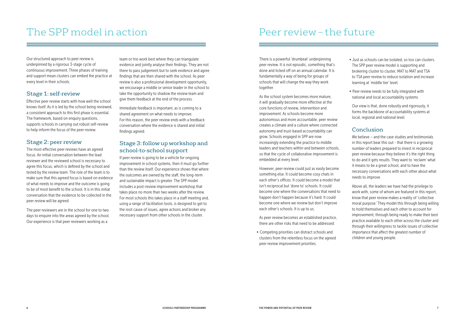Our structured approach to peer review is underpinned by a rigorous 3-stage cycle of continuous improvement. Three phases of training and support mean clusters can embed the practice at every level in their schools.

# Stage 1: self-review

Effective peer review starts with how well the school knows itself. As it is led by the school being reviewed, a consistent approach to this first phase is essential. The framework, based on enquiry questions, supports schools in carrying out robust self-review to help inform the focus of the peer review.

# Stage 2: peer review

The most effective peer reviews have an agreed focus. An initial conversation between the lead reviewer and the reviewed school is necessary to agree this focus, which is defined by the school and tested by the review team. The role of the team is to make sure that this agreed focus is based on evidence of what needs to improve and the outcome is going to be of most benefit to the school. It is in this initial conversation that the evidence to be collected in the peer review will be agreed.

The peer reviewers are in the school for one to two days to enquire into the areas agreed by the school. Our experience is that peer reviewers working as a

team or trio work best where they can triangulate evidence and jointly analyse their findings. They are not there to pass judgement but to seek evidence and agree findings that are then shared with the school. As peer review is also a professional development opportunity, we encourage a middle or senior leader in the school to take the opportunity to shadow the review team and give them feedback at the end of the process.

Immediate feedback is important, as is coming to a shared agreement on what needs to improve. For this reason, the peer review ends with a feedback conversation where the evidence is shared and initial findings agreed.

# Stage 3: follow up workshop and school-to-school support

If peer review is going to be a vehicle for ongoing improvement in school systems, then it must go further than the review itself. Our experience shows that where the outcomes are owned by the staff, the long-term and sustainable impact is greater. The SPP model includes a post-review improvement workshop that takes place no more than two weeks after the review. For most schools this takes place in a staff meeting and, using a range of facilitation tools, is designed to get to the root cause of issues, agree actions and broker any necessary support from other schools in the cluster.

There is a powerful 'drumbeat' underpinning peer review. It is not episodic, something that's done and ticked off on an annual calendar. It is fundamentally a way of being for groups of schools that will change the way they work together.

As the school system becomes more mature, it will gradually become more effective at the core functions of review, intervention and improvement. As schools become more autonomous and more accountable, peer review creates a climate and a culture where connected autonomy and trust-based accountability can grow. Schools engaged in SPP are now increasingly extending the practice to middle leaders and teachers within and between schools, so that the cycle of collaborative improvement is embedded at every level.

However, peer review could just as easily become something else. It could become cosy chats in each other's offices. It could become a model that isn't reciprocal but 'done to' schools. It could become one where the conversations that need to happen don't happen because it's hard. It could become one where we review but don't improve each other's schools. It is up to us.

As peer review becomes an established practice, there are other risks that need to be addressed:

• Competing priorities can distract schools and clusters from the relentless focus on the agreed peer review improvement priorities.

• Just as schools can be isolated, so too can clusters. The SPP peer review model is supporting and brokering cluster to cluster, MAT to MAT and TSA to TSA peer review to reduce isolation and increase learning at 'middle tier' level.

• Peer review needs to be fully integrated with national and local accountability systems.

Our view is that, done robustly and rigorously, it forms the backbone of accountability systems at local, regional and national level.

# Conclusion

We believe – and the case studies and testimonials in this report bear this out - that there is a growing number of leaders prepared to invest in reciprocal peer review because they believe it's the right thing to do and it gets results. They want to 'reclaim' what it means to be a great school, and to have the necessary conversations with each other about what needs to improve.

Above all, the leaders we have had the privilege to work with, some of whom are featured in this report, know that peer review makes a reality of 'collective moral purpose.' They model this through being willing to hold themselves and each other to account for improvement, through being ready to make their best practice available to each other across the cluster and through their willingness to tackle issues of collective importance that affect the greatest number of children and young people.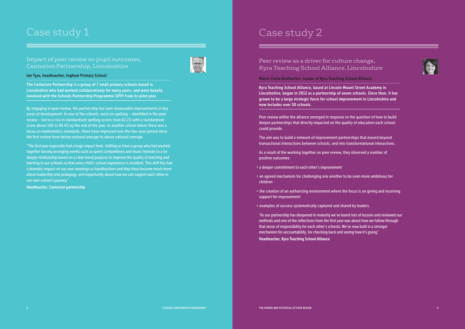# Case study 1 and 2 and 2 and 2 and 2 and 2 and 2 and 2 and 2 and 2 and 2 and 2 and 2 and 2 and 2 and 2 and 2 and 2 and 2 and 2 and 2 and 2 and 2 and 2 and 2 and 2 and 2 and 2 and 2 and 2 and 2 and 2 and 2 and 2 and 2 and 2

# Impact of peer review on pupil outcomes, Centurion Partnership, Lincolnshire



### Ian Tyas, headteacher, Ingham Primary School

The Centurion Partnership is a group of 7 small primary schools based in Lincolnshire who had worked collaboratively for many years, and were heavily involved with the Schools Partnership Programme (SPP) from its pilot year.

By engaging in peer review, the partnership has seen measurable improvements in key areas of development. In one of the schools, work on spelling – identified in the peer review – led to a rise in standardised spelling scores from 62.2% with a standardised score above 100 to 90.4% by the end of the year. In another school where there was a focus on mathematics standards, these have improved over the two-year period since the first review from below national average to above national average.

"The first year especially had a huge impact here, shifting us from a group who had worked together loosely arranging events such as sports competitions and music festivals to a far deeper relationship based on a clear moral purpose to improve the quality of teaching and learning in our schools so that every child's school experience is excellent. This shift has had a dramatic impact on our own meetings as headteachers and they have become much more about leadership and pedagogy, and importantly about how we can support each other in our own school's journey."

- a deeper commitment to each other's improvement
- an agreed mechanism for challenging one another to be even more ambitious for children
- the creation of an authorising environment where the focus is on giving and receiving support for improvement
- examples of success systematically captured and shared by leaders.

Headteacher, Centurion partnership

Peer review as a driver for culture change, Kyra Teaching School Alliance, Lincolnshire



Marie-Claire Bretherton, Leader of Kyra Teaching School Alliance

Kyra Teaching School Alliance, based at Lincoln Mount Street Academy in Lincolnshire, began in 2012 as a partnership of seven schools. Since then, it has grown to be a large strategic force for school improvement in Lincolnshire and now includes over 50 schools.

Peer review within the alliance emerged in response to the question of how to build deeper partnerships that directly impacted on the quality of education each school could provide.

The aim was to build a network of improvement partnerships that moved beyond transactional interactions between schools, and into transformational interactions.

As a result of the working together on peer review, they observed a number of positive outcomes:

"As our partnership has deepened in maturity we've learnt lots of lessons and reviewed our methods and one of the reflections from the first year was about how we follow through that sense of responsibility for each other's schools. We've now built in a stronger mechanism for accountability, for checking back and seeing how it's going." Headteacher, Kyra Teaching School Alliance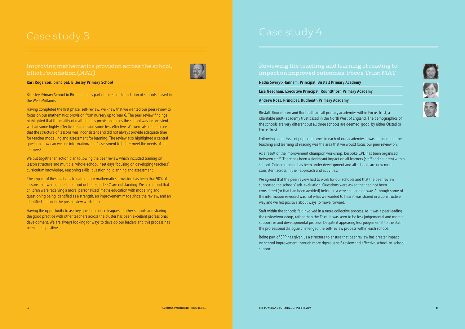impact on improved outcomes, Focus Trust MAT

Nadia Sweryt-Hannam, Principal, Birstall Primary Academy

Lisa Needham, Executive Principal, Roundthorn Primary Academy

Andrew Ross, Principal, Rudheath Primary Academy

Birstall, Roundthorn and Rudheath are all primary academies within Focus Trust, a charitable multi-academy trust based in the North West of England. The demographics of the schools are very different but all three schools are deemed 'good' by either Ofsted or Focus Trust.

Following an analysis of pupil outcomes in each of our academies it was decided that the teaching and learning of reading was the area that we would focus our peer review on.

As a result of the improvement champion workshop, bespoke CPD has been organised between staff. There has been a significant impact on all learners (staff and children) within school. Guided reading has been under development and all schools are now more consistent across in their approach and activities.

We agreed that the peer review had to work for our schools and that the peer review supported the schools' self-evaluation. Questions were asked that had not been considered (or that had been avoided) before in a very challenging way. Although some of the information revealed was not what we wanted to hear it was shared in a constructive way and we felt positive about ways to move forward.

Staff within the schools felt involved in a more collective process. As it was a peer leading the review/workshop, rather than the Trust, it was seen to be less judgemental and more a supportive and developmental process. Despite it appearing less judgemental to the staff, the professional dialogue challenged the self-review process within each school.

Being part of SPP has given us a structure to ensure that peer review has greater impact on school improvement through more rigorous self-review and effective school-to-school support.









### Karl Rogerson, principal, Billesley Primary School

Billesley Primary School in Birmingham is part of the Elliot Foundation of schools, based in the West Midlands.

Having completed the first phase, self-review, we knew that we wanted our peer review to focus on our mathematics provision from nursery up to Year 6. The peer review findings highlighted that the quality of mathematics provision across the school was inconsistent; we had some highly effective practice and some less effective. We were also able to see that the structure of lessons was inconsistent and did not always provide adequate time for teacher modelling and assessment for learning. The review also highlighted a central question: how can we use information/data/assessment to better meet the needs of all learners?

We put together an action plan following the peer review which included training on lesson structure and multiple, whole-school inset days focusing on developing teachers' curriculum knowledge, reasoning skills, questioning, planning and assessment.

The impact of these actions to date on our mathematics provision has been that 90% of lessons that were graded are good or better and 35% are outstanding. We also found that children were receiving a more 'personalised' maths education with modelling and questioning being identified as a strength, an improvement made since the review, and an identified action in the post-review workshop.

Having the opportunity to ask key questions of colleagues in other schools and sharing the good practice with other teachers across the cluster has been excellent professional development. We are always looking for ways to develop our leaders and this process has been a real positive.